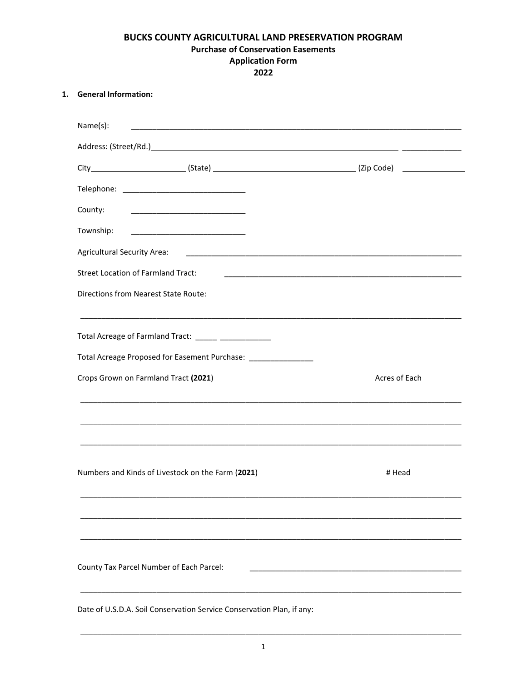# BUCKS COUNTY AGRICULTURAL LAND PRESERVATION PROGRAM **Purchase of Conservation Easements Application Form** 2022

## 1. General Information:

| Name(s):                                                                                                                                                                      |               |
|-------------------------------------------------------------------------------------------------------------------------------------------------------------------------------|---------------|
|                                                                                                                                                                               |               |
|                                                                                                                                                                               |               |
|                                                                                                                                                                               |               |
| County:                                                                                                                                                                       |               |
| Township:                                                                                                                                                                     |               |
| <b>Agricultural Security Area:</b>                                                                                                                                            |               |
| <b>Street Location of Farmland Tract:</b>                                                                                                                                     |               |
| Directions from Nearest State Route:                                                                                                                                          |               |
| <u> 1989 - Johann Barn, amerikan bernama di sebagai bernama dalam bernama dalam bernama dalam bernama dalam bern</u><br>Total Acreage of Farmland Tract: _____ ______________ |               |
| Total Acreage Proposed for Easement Purchase: _________________                                                                                                               |               |
| Crops Grown on Farmland Tract (2021)                                                                                                                                          | Acres of Each |
| ,我们也不能在这里的人,我们也不能在这里的人,我们也不能在这里的人,我们也不能在这里的人,我们也不能在这里的人,我们也不能在这里的人,我们也不能在这里的人,我们也                                                                                             |               |
| Numbers and Kinds of Livestock on the Farm (2021)                                                                                                                             | # Head        |
|                                                                                                                                                                               |               |
| County Tax Parcel Number of Each Parcel:                                                                                                                                      |               |
| Date of U.S.D.A. Soil Conservation Service Conservation Plan, if any:                                                                                                         |               |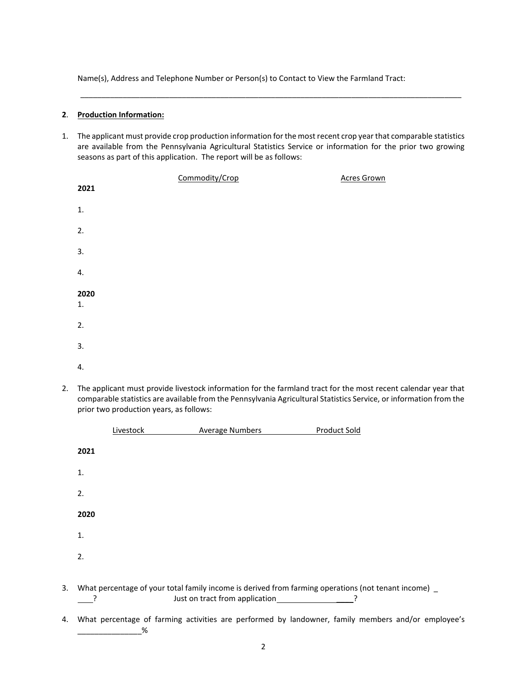Name(s), Address and Telephone Number or Person(s) to Contact to View the Farmland Tract:

#### **2**. **Production Information:**

1. The applicant must provide crop production information for the most recent crop year that comparable statistics are available from the Pennsylvania Agricultural Statistics Service or information for the prior two growing seasons as part of this application. The report will be as follows:

\_\_\_\_\_\_\_\_\_\_\_\_\_\_\_\_\_\_\_\_\_\_\_\_\_\_\_\_\_\_\_\_\_\_\_\_\_\_\_\_\_\_\_\_\_\_\_\_\_\_\_\_\_\_\_\_\_\_\_\_\_\_\_\_\_\_\_\_\_\_\_\_\_\_\_\_\_\_\_\_\_\_\_\_\_\_\_\_\_\_

|      | Commodity/Crop | <b>Acres Grown</b> |
|------|----------------|--------------------|
| 2021 |                |                    |
| 1.   |                |                    |
| 2.   |                |                    |
| 3.   |                |                    |
| 4.   |                |                    |
| 2020 |                |                    |
| 1.   |                |                    |
| 2.   |                |                    |
| 3.   |                |                    |
| 4.   |                |                    |

2. The applicant must provide livestock information for the farmland tract for the most recent calendar year that comparable statistics are available from the Pennsylvania Agricultural Statistics Service, or information from the prior two production years, as follows:

| 2021<br>1.                                                                                                                                   |  |
|----------------------------------------------------------------------------------------------------------------------------------------------|--|
|                                                                                                                                              |  |
|                                                                                                                                              |  |
| 2.                                                                                                                                           |  |
| 2020                                                                                                                                         |  |
| 1.                                                                                                                                           |  |
| 2.                                                                                                                                           |  |
| What percentage of your total family income is derived from farming operations (not tenant income) _<br>3.<br>Just on tract from application |  |

4. What percentage of farming activities are performed by landowner, family members and/or employee's  $% \mathcal{E}$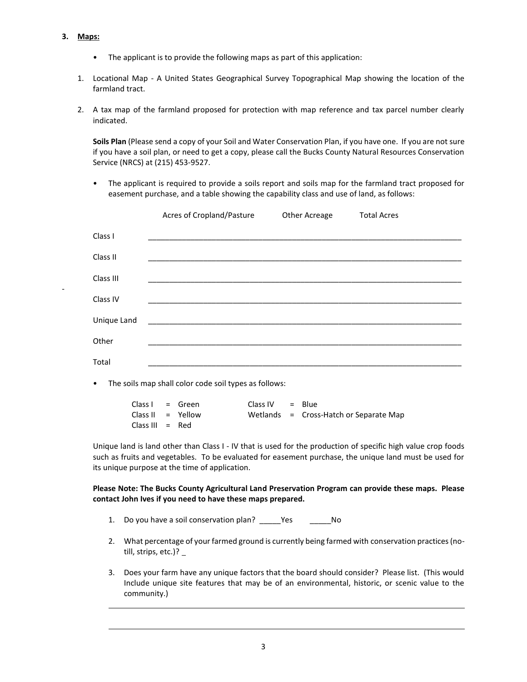### **3. Maps:**

-

- The applicant is to provide the following maps as part of this application:
- 1. Locational Map A United States Geographical Survey Topographical Map showing the location of the farmland tract.
- 2. A tax map of the farmland proposed for protection with map reference and tax parcel number clearly indicated.

**Soils Plan** (Please send a copy of your Soil and Water Conservation Plan, if you have one. If you are not sure if you have a soil plan, or need to get a copy, please call the Bucks County Natural Resources Conservation Service (NRCS) at (215) 453-9527.

• The applicant is required to provide a soils report and soils map for the farmland tract proposed for easement purchase, and a table showing the capability class and use of land, as follows:

|             | Acres of Cropland/Pasture | Other Acreage | <b>Total Acres</b> |
|-------------|---------------------------|---------------|--------------------|
| Class I     |                           |               |                    |
| Class II    |                           |               |                    |
| Class III   |                           |               |                    |
| Class IV    |                           |               |                    |
| Unique Land |                           |               |                    |
| Other       |                           |               |                    |
| Total       |                           |               |                    |
|             |                           |               |                    |

• The soils map shall color code soil types as follows:

| $Class I = Green$   |  | $Class IV = Blue$ |                                          |
|---------------------|--|-------------------|------------------------------------------|
| Class II $=$ Yellow |  |                   | Wetlands $=$ Cross-Hatch or Separate Map |
| Class III $=$ Red   |  |                   |                                          |

Unique land is land other than Class I - IV that is used for the production of specific high value crop foods such as fruits and vegetables. To be evaluated for easement purchase, the unique land must be used for its unique purpose at the time of application.

**Please Note: The Bucks County Agricultural Land Preservation Program can provide these maps. Please contact John Ives if you need to have these maps prepared.**

- 1. Do you have a soil conservation plan? Yes No
- 2. What percentage of your farmed ground is currently being farmed with conservation practices (notill, strips, etc.)?
- 3. Does your farm have any unique factors that the board should consider? Please list. (This would Include unique site features that may be of an environmental, historic, or scenic value to the community.)